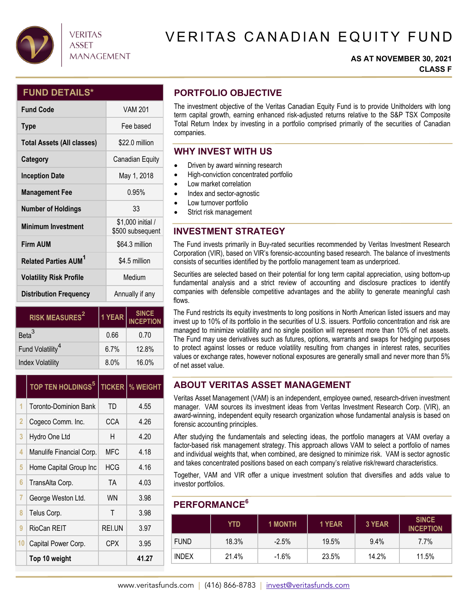

# VERITAS CANADIAN EQUITY FUND

### **AS AT NOVEMBER 30, 2021 CLASS F**

## **FUND DETAILS\***

| <b>Fund Code</b>                  | <b>VAM 201</b>                        |  |  |
|-----------------------------------|---------------------------------------|--|--|
| <b>Type</b>                       | Fee based                             |  |  |
| <b>Total Assets (All classes)</b> | \$22.0 million                        |  |  |
| Category                          | Canadian Equity                       |  |  |
| <b>Inception Date</b>             | May 1, 2018                           |  |  |
| <b>Management Fee</b>             | 0.95%                                 |  |  |
| <b>Number of Holdings</b>         | 33                                    |  |  |
| <b>Minimum Investment</b>         | \$1,000 initial /<br>\$500 subsequent |  |  |
| <b>Firm AUM</b>                   | \$64.3 million                        |  |  |
| Related Parties AUM <sup>1</sup>  | \$4.5 million                         |  |  |
| <b>Volatility Risk Profile</b>    | Medium                                |  |  |
| <b>Distribution Frequency</b>     | Annually if any                       |  |  |

**VERITAS ASSET** 

**MANAGEMENT** 

| <b>RISK MEASURES<sup>2</sup></b> | 1 YEAR  | SINCE<br>INCEPTION |  |
|----------------------------------|---------|--------------------|--|
| Beta <sup>3</sup>                | 0.66    | 0.70               |  |
| Fund Volatility <sup>4</sup>     | $6.7\%$ | 12.8%              |  |
| <b>Index Volatility</b>          | 8.0%    | 16.0%              |  |

|    | <b>TOP TEN HOLDINGS<sup>5</sup></b> | <b>TICKER</b> | % WEIGHT |
|----|-------------------------------------|---------------|----------|
| 1  | <b>Toronto-Dominion Bank</b>        | TD            | 4.55     |
| 2  | Cogeco Comm. Inc.                   | CCA           | 4.26     |
| 3  | Hydro One Ltd                       | Н             | 4.20     |
| 4  | Manulife Financial Corp.            | MFC           | 4.18     |
| 5  | Home Capital Group Inc              | <b>HCG</b>    | 4.16     |
| 6  | TransAlta Corp.                     | <b>TA</b>     | 4.03     |
| 7  | George Weston Ltd.                  | <b>WN</b>     | 3.98     |
| 8  | Telus Corp.                         | Τ             | 3.98     |
| 9  | RioCan REIT                         | REI.UN        | 3.97     |
| 10 | <b>CPX</b><br>Capital Power Corp.   |               | 3.95     |
|    | Top 10 weight                       |               | 41.27    |

## **PORTFOLIO OBJECTIVE**

The investment objective of the Veritas Canadian Equity Fund is to provide Unitholders with long term capital growth, earning enhanced risk-adjusted returns relative to the S&P TSX Composite Total Return Index by investing in a portfolio comprised primarily of the securities of Canadian companies.

## **WHY INVEST WITH US**

- Driven by award winning research
- $\bullet$  High-conviction concentrated portfolio
- Low market correlation
- Index and sector-agnostic
- Low turnover portfolio
- Strict risk management

## **INVESTMENT STRATEGY**

The Fund invests primarily in Buy-rated securities recommended by Veritas Investment Research Corporation (VIR), based on VIR's forensic-accounting based research. The balance of investments consists of securities identified by the portfolio management team as underpriced.

Securities are selected based on their potential for long term capital appreciation, using bottom-up fundamental analysis and a strict review of accounting and disclosure practices to identify companies with defensible competitive advantages and the ability to generate meaningful cash flows.

The Fund restricts its equity investments to long positions in North American listed issuers and may invest up to 10% of its portfolio in the securities of U.S. issuers. Portfolio concentration and risk are managed to minimize volatility and no single position will represent more than 10% of net assets. The Fund may use derivatives such as futures, options, warrants and swaps for hedging purposes to protect against losses or reduce volatility resulting from changes in interest rates, securities values or exchange rates, however notional exposures are generally small and never more than 5% of net asset value.

## **ABOUT VERITAS ASSET MANAGEMENT**

Veritas Asset Management (VAM) is an independent, employee owned, research-driven investment manager. VAM sources its investment ideas from Veritas Investment Research Corp. (VIR), an award-winning, independent equity research organization whose fundamental analysis is based on forensic accounting principles.

After studying the fundamentals and selecting ideas, the portfolio managers at VAM overlay a factor-based risk management strategy. This approach allows VAM to select a portfolio of names and individual weights that, when combined, are designed to minimize risk. VAM is sector agnostic and takes concentrated positions based on each company's relative risk/reward characteristics.

Together, VAM and VIR offer a unique investment solution that diversifies and adds value to investor portfolios.

## **PERFORMANCE6**

|              | YTD   | <b>1 MONTH</b> | 1 YEAR | 3 YEAR  | <b>SINCE</b><br><b>INCEPTION</b> |
|--------------|-------|----------------|--------|---------|----------------------------------|
| <b>FUND</b>  | 18.3% | $-2.5%$        | 19.5%  | $9.4\%$ | $7.7\%$                          |
| <b>INDEX</b> | 21.4% | $-1.6%$        | 23.5%  | 14.2%   | 11.5%                            |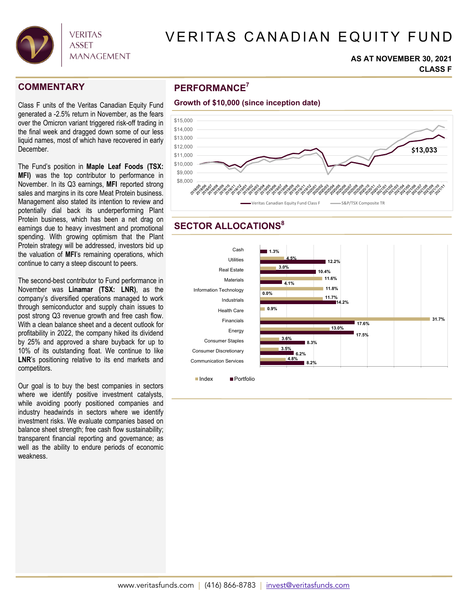

# VERITAS CANADIAN EQUITY FUND

#### **AS AT NOVEMBER 30, 2021 CLASS F**

Class F units of the Veritas Canadian Equity Fund generated a -2.5% return in November, as the fears over the Omicron variant triggered risk-off trading in the final week and dragged down some of our less liquid names, most of which have recovered in early December.

The Fund's position in **Maple Leaf Foods (TSX: MFI)** was the top contributor to performance in November. In its Q3 earnings, **MFI** reported strong sales and margins in its core Meat Protein business. Management also stated its intention to review and potentially dial back its underperforming Plant Protein business, which has been a net drag on earnings due to heavy investment and promotional spending. With growing optimism that the Plant Protein strategy will be addressed, investors bid up the valuation of **MFI**'s remaining operations, which continue to carry a steep discount to peers.

The second-best contributor to Fund performance in November was **Linamar (TSX: LNR)**, as the company's diversified operations managed to work through semiconductor and supply chain issues to post strong Q3 revenue growth and free cash flow. With a clean balance sheet and a decent outlook for profitability in 2022, the company hiked its dividend by 25% and approved a share buyback for up to 10% of its outstanding float. We continue to like LNR's positioning relative to its end markets and competitors.

Our goal is to buy the best companies in sectors where we identify positive investment catalysts, while avoiding poorly positioned companies and industry headwinds in sectors where we identify investment risks. We evaluate companies based on balance sheet strength; free cash flow sustainability; transparent financial reporting and governance; as well as the ability to endure periods of economic weakness.

## **PERFORMANCE COMMENTARY <sup>7</sup>**



## **SECTOR ALLOCATIONS<sup>8</sup>**



■ Index ■ Portfolio